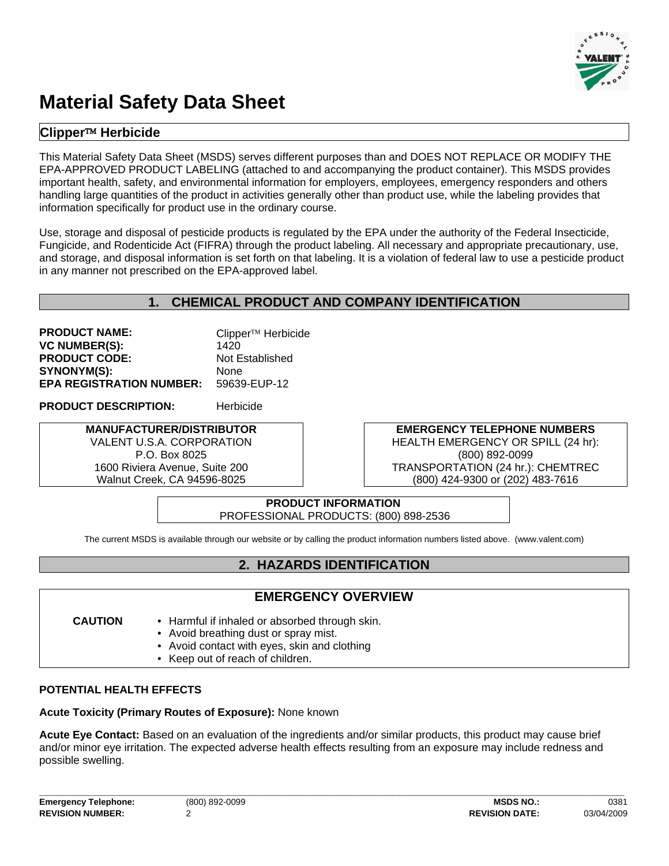

# **Material Safety Data Sheet**

## **Clipper**™ **Herbicide**

This Material Safety Data Sheet (MSDS) serves different purposes than and DOES NOT REPLACE OR MODIFY THE EPA-APPROVED PRODUCT LABELING (attached to and accompanying the product container). This MSDS provides important health, safety, and environmental information for employers, employees, emergency responders and others handling large quantities of the product in activities generally other than product use, while the labeling provides that information specifically for product use in the ordinary course.

Use, storage and disposal of pesticide products is regulated by the EPA under the authority of the Federal Insecticide, Fungicide, and Rodenticide Act (FIFRA) through the product labeling. All necessary and appropriate precautionary, use, and storage, and disposal information is set forth on that labeling. It is a violation of federal law to use a pesticide product in any manner not prescribed on the EPA-approved label.

## **1. CHEMICAL PRODUCT AND COMPANY IDENTIFICATION**

**PRODUCT NAME:** Clipper™ Herbicide **VC NUMBER(S):** 1420 **PRODUCT CODE:** Not Established SYNONYM(S): None **EPA REGISTRATION NUMBER:** 59639-EUP-12

**PRODUCT DESCRIPTION:** Herbicide

#### **MANUFACTURER/DISTRIBUTOR**  VALENT U.S.A. CORPORATION P.O. Box 8025

1600 Riviera Avenue, Suite 200 Walnut Creek, CA 94596-8025

**EMERGENCY TELEPHONE NUMBERS** HEALTH EMERGENCY OR SPILL (24 hr): (800) 892-0099 TRANSPORTATION (24 hr.): CHEMTREC (800) 424-9300 or (202) 483-7616

#### **PRODUCT INFORMATION** PROFESSIONAL PRODUCTS: (800) 898-2536

The current MSDS is available through our website or by calling the product information numbers listed above. (www.valent.com)

## **2. HAZARDS IDENTIFICATION**

## **EMERGENCY OVERVIEW**

- **CAUTION** Harmful if inhaled or absorbed through skin.
	- Avoid breathing dust or spray mist.
	- Avoid contact with eyes, skin and clothing
	- Keep out of reach of children.

#### **POTENTIAL HEALTH EFFECTS**

## **Acute Toxicity (Primary Routes of Exposure):** None known

**Acute Eye Contact:** Based on an evaluation of the ingredients and/or similar products, this product may cause brief and/or minor eye irritation. The expected adverse health effects resulting from an exposure may include redness and possible swelling.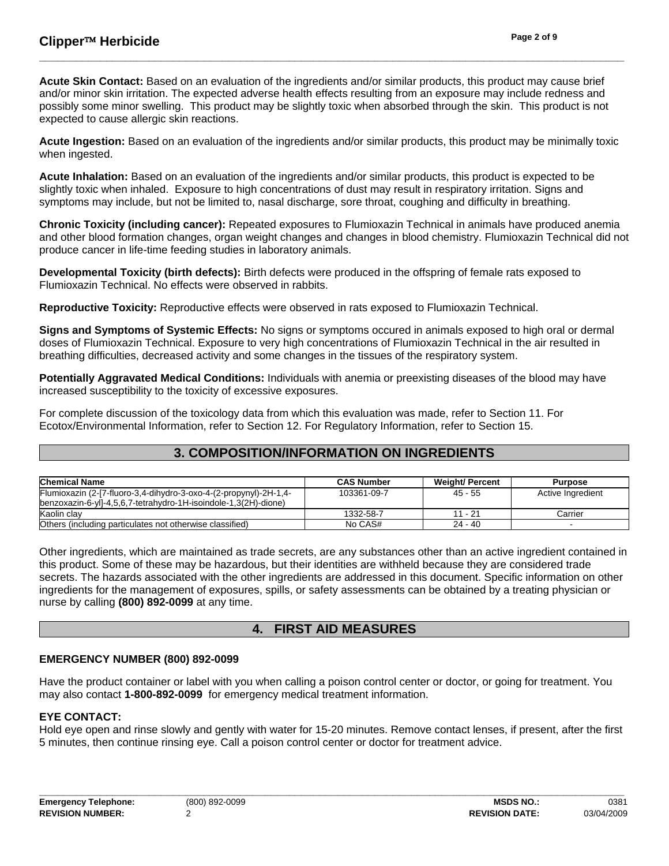**Acute Skin Contact:** Based on an evaluation of the ingredients and/or similar products, this product may cause brief and/or minor skin irritation. The expected adverse health effects resulting from an exposure may include redness and possibly some minor swelling. This product may be slightly toxic when absorbed through the skin. This product is not expected to cause allergic skin reactions.

**\_\_\_\_\_\_\_\_\_\_\_\_\_\_\_\_\_\_\_\_\_\_\_\_\_\_\_\_\_\_\_\_\_\_\_\_\_\_\_\_\_\_\_\_\_\_\_\_\_\_\_\_\_\_\_\_\_\_\_\_\_\_\_\_\_\_\_\_\_\_\_\_\_\_\_\_\_\_\_\_\_\_\_\_\_\_\_\_\_\_\_\_\_\_\_\_** 

**Acute Ingestion:** Based on an evaluation of the ingredients and/or similar products, this product may be minimally toxic when ingested.

**Acute Inhalation:** Based on an evaluation of the ingredients and/or similar products, this product is expected to be slightly toxic when inhaled. Exposure to high concentrations of dust may result in respiratory irritation. Signs and symptoms may include, but not be limited to, nasal discharge, sore throat, coughing and difficulty in breathing.

**Chronic Toxicity (including cancer):** Repeated exposures to Flumioxazin Technical in animals have produced anemia and other blood formation changes, organ weight changes and changes in blood chemistry. Flumioxazin Technical did not produce cancer in life-time feeding studies in laboratory animals.

**Developmental Toxicity (birth defects):** Birth defects were produced in the offspring of female rats exposed to Flumioxazin Technical. No effects were observed in rabbits.

**Reproductive Toxicity:** Reproductive effects were observed in rats exposed to Flumioxazin Technical.

**Signs and Symptoms of Systemic Effects:** No signs or symptoms occured in animals exposed to high oral or dermal doses of Flumioxazin Technical. Exposure to very high concentrations of Flumioxazin Technical in the air resulted in breathing difficulties, decreased activity and some changes in the tissues of the respiratory system.

**Potentially Aggravated Medical Conditions:** Individuals with anemia or preexisting diseases of the blood may have increased susceptibility to the toxicity of excessive exposures.

For complete discussion of the toxicology data from which this evaluation was made, refer to Section 11. For Ecotox/Environmental Information, refer to Section 12. For Regulatory Information, refer to Section 15.

## **3. COMPOSITION/INFORMATION ON INGREDIENTS**

| <b>Chemical Name</b>                                              | <b>CAS Number</b> | <b>Weight/ Percent</b> | <b>Purpose</b>    |
|-------------------------------------------------------------------|-------------------|------------------------|-------------------|
| Flumioxazin (2-[7-fluoro-3,4-dihydro-3-oxo-4-(2-propynyl)-2H-1,4- | 103361-09-7       | $45 - 55$              | Active Ingredient |
| benzoxazin-6-yll-4,5,6,7-tetrahydro-1H-isoindole-1,3(2H)-dione)   |                   |                        |                   |
| Kaolin clav                                                       | 1332-58-7         | 11 - 21                | Carrier           |
| Others (including particulates not otherwise classified)          | No CAS#           | $24 - 40$              |                   |

Other ingredients, which are maintained as trade secrets, are any substances other than an active ingredient contained in this product. Some of these may be hazardous, but their identities are withheld because they are considered trade secrets. The hazards associated with the other ingredients are addressed in this document. Specific information on other ingredients for the management of exposures, spills, or safety assessments can be obtained by a treating physician or nurse by calling **(800) 892-0099** at any time.

## **4. FIRST AID MEASURES**

#### **EMERGENCY NUMBER (800) 892-0099**

Have the product container or label with you when calling a poison control center or doctor, or going for treatment. You may also contact **1-800-892-0099** for emergency medical treatment information.

#### **EYE CONTACT:**

Hold eye open and rinse slowly and gently with water for 15-20 minutes. Remove contact lenses, if present, after the first 5 minutes, then continue rinsing eye. Call a poison control center or doctor for treatment advice.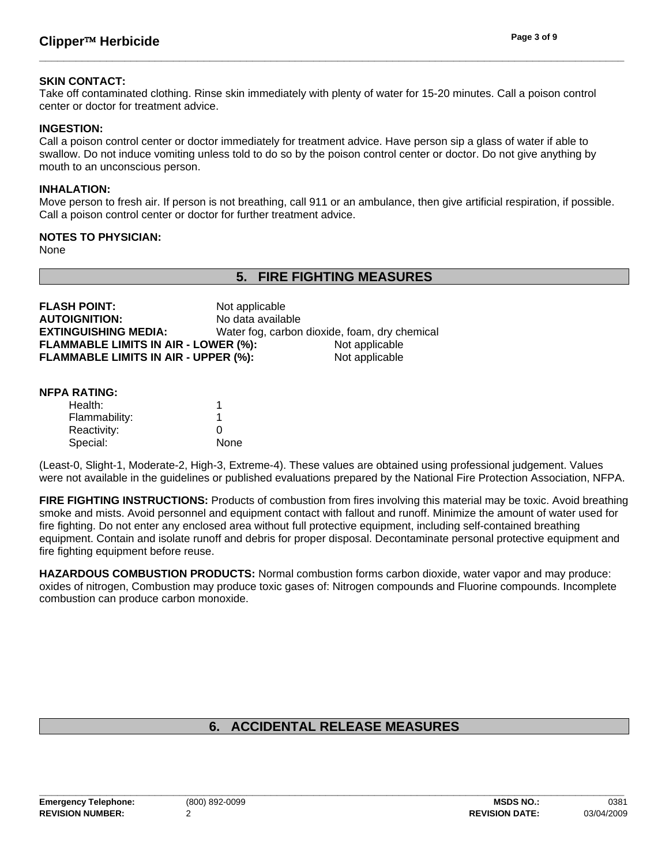#### **SKIN CONTACT:**

Take off contaminated clothing. Rinse skin immediately with plenty of water for 15-20 minutes. Call a poison control center or doctor for treatment advice.

**\_\_\_\_\_\_\_\_\_\_\_\_\_\_\_\_\_\_\_\_\_\_\_\_\_\_\_\_\_\_\_\_\_\_\_\_\_\_\_\_\_\_\_\_\_\_\_\_\_\_\_\_\_\_\_\_\_\_\_\_\_\_\_\_\_\_\_\_\_\_\_\_\_\_\_\_\_\_\_\_\_\_\_\_\_\_\_\_\_\_\_\_\_\_\_\_** 

#### **INGESTION:**

Call a poison control center or doctor immediately for treatment advice. Have person sip a glass of water if able to swallow. Do not induce vomiting unless told to do so by the poison control center or doctor. Do not give anything by mouth to an unconscious person.

#### **INHALATION:**

Move person to fresh air. If person is not breathing, call 911 or an ambulance, then give artificial respiration, if possible. Call a poison control center or doctor for further treatment advice.

#### **NOTES TO PHYSICIAN:**

None

## **5. FIRE FIGHTING MEASURES**

| <b>FLASH POINT:</b>                         | Not applicable    |                                               |
|---------------------------------------------|-------------------|-----------------------------------------------|
| <b>AUTOIGNITION:</b>                        | No data available |                                               |
| <b>EXTINGUISHING MEDIA:</b>                 |                   | Water fog, carbon dioxide, foam, dry chemical |
| <b>FLAMMABLE LIMITS IN AIR - LOWER (%):</b> |                   | Not applicable                                |
| FLAMMABLE LIMITS IN AIR - UPPER (%):        |                   | Not applicable                                |
|                                             |                   |                                               |

#### **NFPA RATING:**

| Health:       | 1    |
|---------------|------|
| Flammability: |      |
| Reactivity:   | Ω    |
| Special:      | None |
|               |      |

(Least-0, Slight-1, Moderate-2, High-3, Extreme-4). These values are obtained using professional judgement. Values were not available in the guidelines or published evaluations prepared by the National Fire Protection Association, NFPA.

**FIRE FIGHTING INSTRUCTIONS:** Products of combustion from fires involving this material may be toxic. Avoid breathing smoke and mists. Avoid personnel and equipment contact with fallout and runoff. Minimize the amount of water used for fire fighting. Do not enter any enclosed area without full protective equipment, including self-contained breathing equipment. Contain and isolate runoff and debris for proper disposal. Decontaminate personal protective equipment and fire fighting equipment before reuse.

**HAZARDOUS COMBUSTION PRODUCTS:** Normal combustion forms carbon dioxide, water vapor and may produce: oxides of nitrogen, Combustion may produce toxic gases of: Nitrogen compounds and Fluorine compounds. Incomplete combustion can produce carbon monoxide.

## **6. ACCIDENTAL RELEASE MEASURES**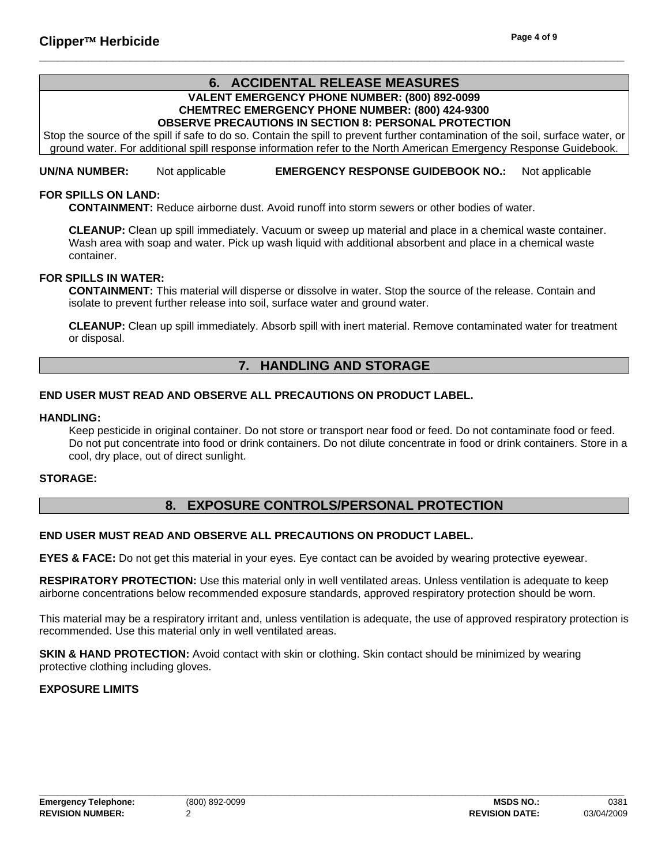#### **6. ACCIDENTAL RELEASE MEASURES VALENT EMERGENCY PHONE NUMBER: (800) 892-0099 CHEMTREC EMERGENCY PHONE NUMBER: (800) 424-9300 OBSERVE PRECAUTIONS IN SECTION 8: PERSONAL PROTECTION**

**\_\_\_\_\_\_\_\_\_\_\_\_\_\_\_\_\_\_\_\_\_\_\_\_\_\_\_\_\_\_\_\_\_\_\_\_\_\_\_\_\_\_\_\_\_\_\_\_\_\_\_\_\_\_\_\_\_\_\_\_\_\_\_\_\_\_\_\_\_\_\_\_\_\_\_\_\_\_\_\_\_\_\_\_\_\_\_\_\_\_\_\_\_\_\_\_** 

Stop the source of the spill if safe to do so. Contain the spill to prevent further contamination of the soil, surface water, or ground water. For additional spill response information refer to the North American Emergency Response Guidebook.

**UN/NA NUMBER:** Not applicable **EMERGENCY RESPONSE GUIDEBOOK NO.:** Not applicable

#### **FOR SPILLS ON LAND:**

 **CONTAINMENT:** Reduce airborne dust. Avoid runoff into storm sewers or other bodies of water.

 **CLEANUP:** Clean up spill immediately. Vacuum or sweep up material and place in a chemical waste container. Wash area with soap and water. Pick up wash liquid with additional absorbent and place in a chemical waste container.

### **FOR SPILLS IN WATER:**

 **CONTAINMENT:** This material will disperse or dissolve in water. Stop the source of the release. Contain and isolate to prevent further release into soil, surface water and ground water.

 **CLEANUP:** Clean up spill immediately. Absorb spill with inert material. Remove contaminated water for treatment or disposal.

## **7. HANDLING AND STORAGE**

#### **END USER MUST READ AND OBSERVE ALL PRECAUTIONS ON PRODUCT LABEL.**

#### **HANDLING:**

Keep pesticide in original container. Do not store or transport near food or feed. Do not contaminate food or feed. Do not put concentrate into food or drink containers. Do not dilute concentrate in food or drink containers. Store in a cool, dry place, out of direct sunlight.

#### **STORAGE:**

#### **8. EXPOSURE CONTROLS/PERSONAL PROTECTION**

#### **END USER MUST READ AND OBSERVE ALL PRECAUTIONS ON PRODUCT LABEL.**

**EYES & FACE:** Do not get this material in your eyes. Eye contact can be avoided by wearing protective eyewear.

**RESPIRATORY PROTECTION:** Use this material only in well ventilated areas. Unless ventilation is adequate to keep airborne concentrations below recommended exposure standards, approved respiratory protection should be worn.

This material may be a respiratory irritant and, unless ventilation is adequate, the use of approved respiratory protection is recommended. Use this material only in well ventilated areas.

**SKIN & HAND PROTECTION:** Avoid contact with skin or clothing. Skin contact should be minimized by wearing protective clothing including gloves.

#### **EXPOSURE LIMITS**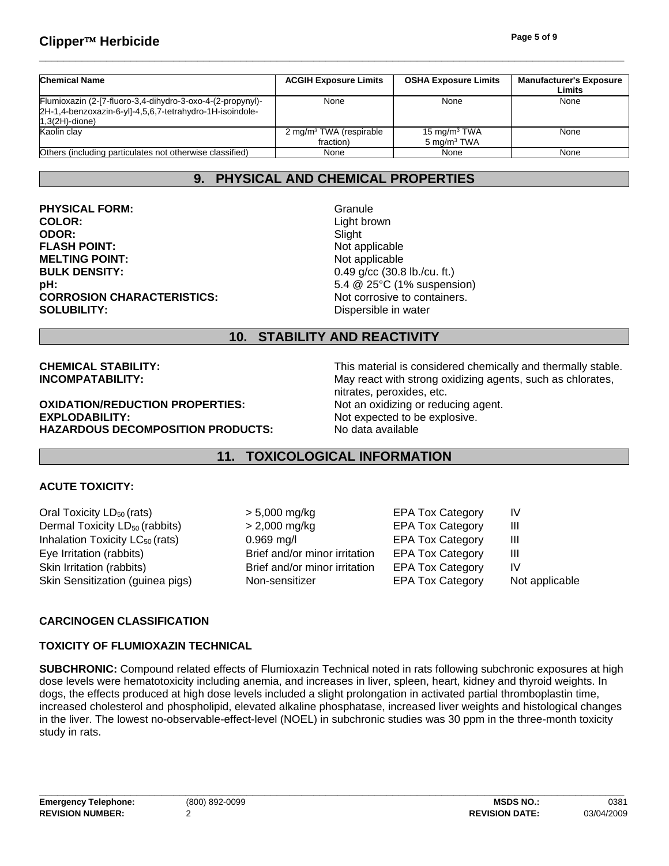## **Clipper**™ **Herbicide Page 5 of 9**

| <b>Chemical Name</b>                                                                                                                        | <b>ACGIH Exposure Limits</b>                     | <b>OSHA Exposure Limits</b>                | <b>Manufacturer's Exposure</b><br>Limits |
|---------------------------------------------------------------------------------------------------------------------------------------------|--------------------------------------------------|--------------------------------------------|------------------------------------------|
| Flumioxazin (2-[7-fluoro-3,4-dihydro-3-oxo-4-(2-propynyl)-<br>2H-1,4-benzoxazin-6-yl]-4,5,6,7-tetrahydro-1H-isoindole-<br>$1,3(2H)$ -dione) | None                                             | None                                       | None                                     |
| Kaolin clay                                                                                                                                 | 2 mg/m <sup>3</sup> TWA (respirable<br>fraction) | 15 mg/m $3$ TWA<br>5 mg/m <sup>3</sup> TWA | None                                     |
| Others (including particulates not otherwise classified)                                                                                    | None                                             | None                                       | None                                     |

**\_\_\_\_\_\_\_\_\_\_\_\_\_\_\_\_\_\_\_\_\_\_\_\_\_\_\_\_\_\_\_\_\_\_\_\_\_\_\_\_\_\_\_\_\_\_\_\_\_\_\_\_\_\_\_\_\_\_\_\_\_\_\_\_\_\_\_\_\_\_\_\_\_\_\_\_\_\_\_\_\_\_\_\_\_\_\_\_\_\_\_\_\_\_\_\_** 

## **9. PHYSICAL AND CHEMICAL PROPERTIES**

**PHYSICAL FORM:** Granule **COLOR:** Light brown **ODOR:** Slight **FLASH POINT:** Not applicable **MELTING POINT:** Not applicable **BULK DENSITY:** 0.49 g/cc (30.8 lb./cu. ft.) **pH:**  $5.4 \& 25^{\circ} \text{C}$  (1% suspension) **CORROSION CHARACTERISTICS:** Not corrosive to containers. **SOLUBILITY:** Dispersible in water

## **10. STABILITY AND REACTIVITY**

**OXIDATION/REDUCTION PROPERTIES:** Not an oxidizing or reducing agent. **EXPLODABILITY:** Not expected to be explosive. **HAZARDOUS DECOMPOSITION PRODUCTS:** No data available

**CHEMICAL STABILITY:** This material is considered chemically and thermally stable. **INCOMPATABILITY:** May react with strong oxidizing agents, such as chlorates, nitrates, peroxides, etc.

## **11. TOXICOLOGICAL INFORMATION**

#### **ACUTE TOXICITY:**

Skin Irritation (rabbits) Dermal Toxicity LD<sub>50</sub> (rabbits) Oral Toxicity  $LD_{50}$  (rats) Skin Sensitization (guinea pigs) Inhalation Toxicity  $LC_{50}$  (rats) Eye Irritation (rabbits)

Brief and/or minor irritation > 2,000 mg/kg > 5,000 mg/kg 0.969 mg/l EPA Tox Category III Brief and/or minor irritation

EPA Tox Category IV Non-sensitizer EPA Tox Category Not applicable EPA Tox Category III EPA Tox Category IV EPA Tox Category III

#### **CARCINOGEN CLASSIFICATION**

#### **TOXICITY OF FLUMIOXAZIN TECHNICAL**

**SUBCHRONIC:** Compound related effects of Flumioxazin Technical noted in rats following subchronic exposures at high dose levels were hematotoxicity including anemia, and increases in liver, spleen, heart, kidney and thyroid weights. In dogs, the effects produced at high dose levels included a slight prolongation in activated partial thromboplastin time, increased cholesterol and phospholipid, elevated alkaline phosphatase, increased liver weights and histological changes in the liver. The lowest no-observable-effect-level (NOEL) in subchronic studies was 30 ppm in the three-month toxicity study in rats.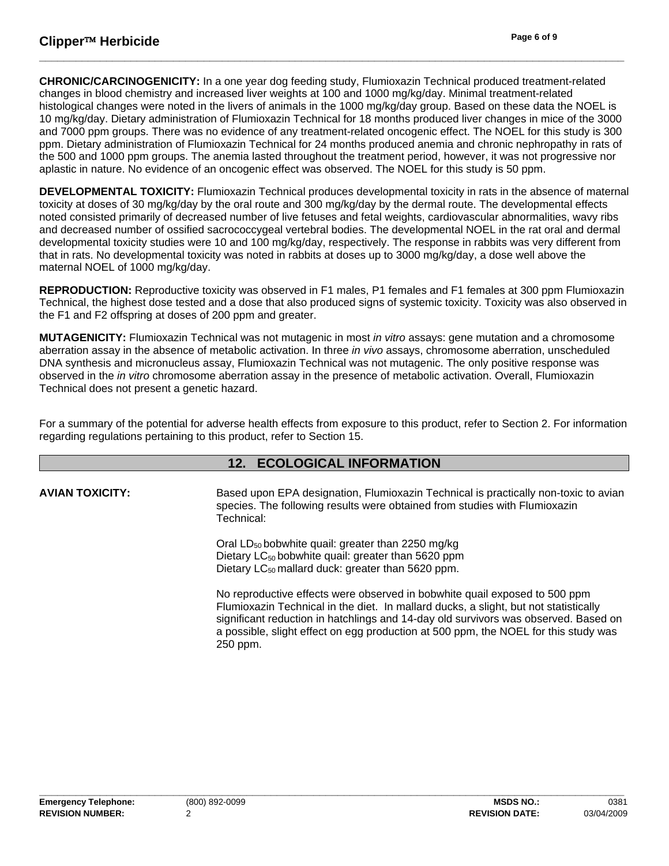**CHRONIC/CARCINOGENICITY:** In a one year dog feeding study, Flumioxazin Technical produced treatment-related changes in blood chemistry and increased liver weights at 100 and 1000 mg/kg/day. Minimal treatment-related histological changes were noted in the livers of animals in the 1000 mg/kg/day group. Based on these data the NOEL is 10 mg/kg/day. Dietary administration of Flumioxazin Technical for 18 months produced liver changes in mice of the 3000 and 7000 ppm groups. There was no evidence of any treatment-related oncogenic effect. The NOEL for this study is 300 ppm. Dietary administration of Flumioxazin Technical for 24 months produced anemia and chronic nephropathy in rats of the 500 and 1000 ppm groups. The anemia lasted throughout the treatment period, however, it was not progressive nor aplastic in nature. No evidence of an oncogenic effect was observed. The NOEL for this study is 50 ppm.

**\_\_\_\_\_\_\_\_\_\_\_\_\_\_\_\_\_\_\_\_\_\_\_\_\_\_\_\_\_\_\_\_\_\_\_\_\_\_\_\_\_\_\_\_\_\_\_\_\_\_\_\_\_\_\_\_\_\_\_\_\_\_\_\_\_\_\_\_\_\_\_\_\_\_\_\_\_\_\_\_\_\_\_\_\_\_\_\_\_\_\_\_\_\_\_\_** 

**DEVELOPMENTAL TOXICITY:** Flumioxazin Technical produces developmental toxicity in rats in the absence of maternal toxicity at doses of 30 mg/kg/day by the oral route and 300 mg/kg/day by the dermal route. The developmental effects noted consisted primarily of decreased number of live fetuses and fetal weights, cardiovascular abnormalities, wavy ribs and decreased number of ossified sacrococcygeal vertebral bodies. The developmental NOEL in the rat oral and dermal developmental toxicity studies were 10 and 100 mg/kg/day, respectively. The response in rabbits was very different from that in rats. No developmental toxicity was noted in rabbits at doses up to 3000 mg/kg/day, a dose well above the maternal NOEL of 1000 mg/kg/day.

**REPRODUCTION:** Reproductive toxicity was observed in F1 males, P1 females and F1 females at 300 ppm Flumioxazin Technical, the highest dose tested and a dose that also produced signs of systemic toxicity. Toxicity was also observed in the F1 and F2 offspring at doses of 200 ppm and greater.

**MUTAGENICITY:** Flumioxazin Technical was not mutagenic in most *in vitro* assays: gene mutation and a chromosome aberration assay in the absence of metabolic activation. In three *in vivo* assays, chromosome aberration, unscheduled DNA synthesis and micronucleus assay, Flumioxazin Technical was not mutagenic. The only positive response was observed in the *in vitro* chromosome aberration assay in the presence of metabolic activation. Overall, Flumioxazin Technical does not present a genetic hazard.

For a summary of the potential for adverse health effects from exposure to this product, refer to Section 2. For information regarding regulations pertaining to this product, refer to Section 15.

## **12. ECOLOGICAL INFORMATION**

**AVIAN TOXICITY:** Based upon EPA designation, Flumioxazin Technical is practically non-toxic to avian species. The following results were obtained from studies with Flumioxazin Technical:

> Oral  $LD_{50}$  bobwhite quail: greater than 2250 mg/kg Dietary LC<sub>50</sub> bobwhite quail: greater than 5620 ppm Dietary  $LC_{50}$  mallard duck: greater than 5620 ppm.

No reproductive effects were observed in bobwhite quail exposed to 500 ppm Flumioxazin Technical in the diet. In mallard ducks, a slight, but not statistically significant reduction in hatchlings and 14-day old survivors was observed. Based on a possible, slight effect on egg production at 500 ppm, the NOEL for this study was 250 ppm.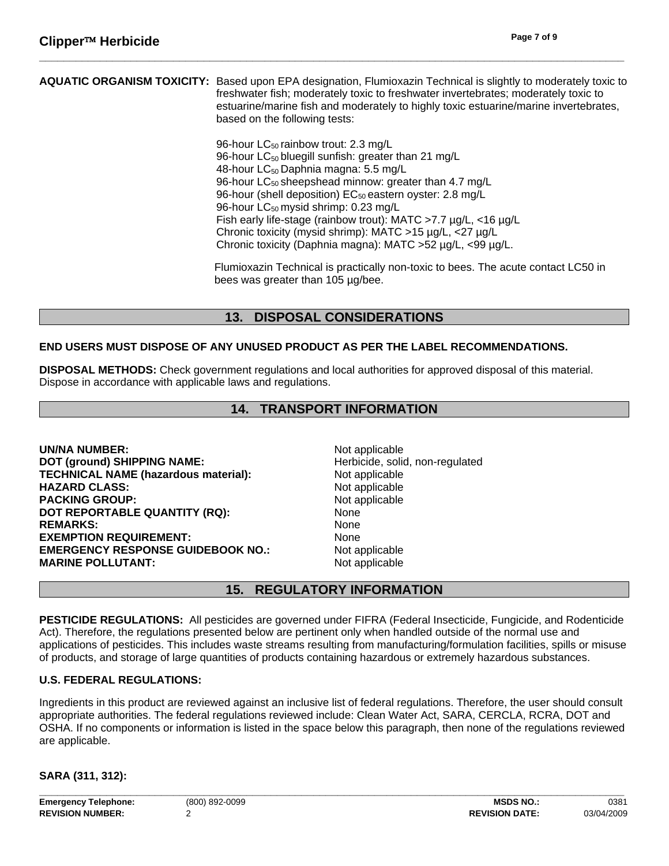#### **AQUATIC ORGANISM TOXICITY:** Based upon EPA designation, Flumioxazin Technical is slightly to moderately toxic to freshwater fish; moderately toxic to freshwater invertebrates; moderately toxic to estuarine/marine fish and moderately to highly toxic estuarine/marine invertebrates, based on the following tests:

**\_\_\_\_\_\_\_\_\_\_\_\_\_\_\_\_\_\_\_\_\_\_\_\_\_\_\_\_\_\_\_\_\_\_\_\_\_\_\_\_\_\_\_\_\_\_\_\_\_\_\_\_\_\_\_\_\_\_\_\_\_\_\_\_\_\_\_\_\_\_\_\_\_\_\_\_\_\_\_\_\_\_\_\_\_\_\_\_\_\_\_\_\_\_\_\_** 

96-hour LC<sub>50</sub> rainbow trout: 2.3 mg/L 96-hour LC<sub>50</sub> bluegill sunfish: greater than 21 mg/L 48-hour  $LC_{50}$  Daphnia magna: 5.5 mg/L 96-hour  $LC_{50}$  sheepshead minnow: greater than 4.7 mg/L 96-hour (shell deposition) EC<sub>50</sub> eastern oyster: 2.8 mg/L 96-hour  $LC_{50}$  mysid shrimp: 0.23 mg/L Fish early life-stage (rainbow trout): MATC >7.7 µg/L, <16 µg/L Chronic toxicity (mysid shrimp): MATC >15 µg/L, <27 µg/L Chronic toxicity (Daphnia magna): MATC >52 µg/L, <99 µg/L.

Flumioxazin Technical is practically non-toxic to bees. The acute contact LC50 in bees was greater than 105 µg/bee.

## **13. DISPOSAL CONSIDERATIONS**

### **END USERS MUST DISPOSE OF ANY UNUSED PRODUCT AS PER THE LABEL RECOMMENDATIONS.**

**DISPOSAL METHODS:** Check government regulations and local authorities for approved disposal of this material. Dispose in accordance with applicable laws and regulations.

## **14. TRANSPORT INFORMATION**

**UN/NA NUMBER:** Not applicable **DOT (ground) SHIPPING NAME:** Herbicide, solid, non-regulated **TECHNICAL NAME (hazardous material):** Not applicable **HAZARD CLASS:** Not applicable **PACKING GROUP:** Not applicable **DOT REPORTABLE QUANTITY (RQ):** None REMARKS: None **EXEMPTION REQUIREMENT:** None **EMERGENCY RESPONSE GUIDEBOOK NO.:** Not applicable **MARINE POLLUTANT:** Not applicable

## **15. REGULATORY INFORMATION**

**PESTICIDE REGULATIONS:** All pesticides are governed under FIFRA (Federal Insecticide, Fungicide, and Rodenticide Act). Therefore, the regulations presented below are pertinent only when handled outside of the normal use and applications of pesticides. This includes waste streams resulting from manufacturing/formulation facilities, spills or misuse of products, and storage of large quantities of products containing hazardous or extremely hazardous substances.

#### **U.S. FEDERAL REGULATIONS:**

Ingredients in this product are reviewed against an inclusive list of federal regulations. Therefore, the user should consult appropriate authorities. The federal regulations reviewed include: Clean Water Act, SARA, CERCLA, RCRA, DOT and OSHA. If no components or information is listed in the space below this paragraph, then none of the regulations reviewed are applicable.

**SARA (311, 312):**

**Emergency Telephone:** (800) 892-0099 **MSDS NO.:** 0381 **REVISION NUMBER:** 2 **REVISION DATE:** 03/04/2009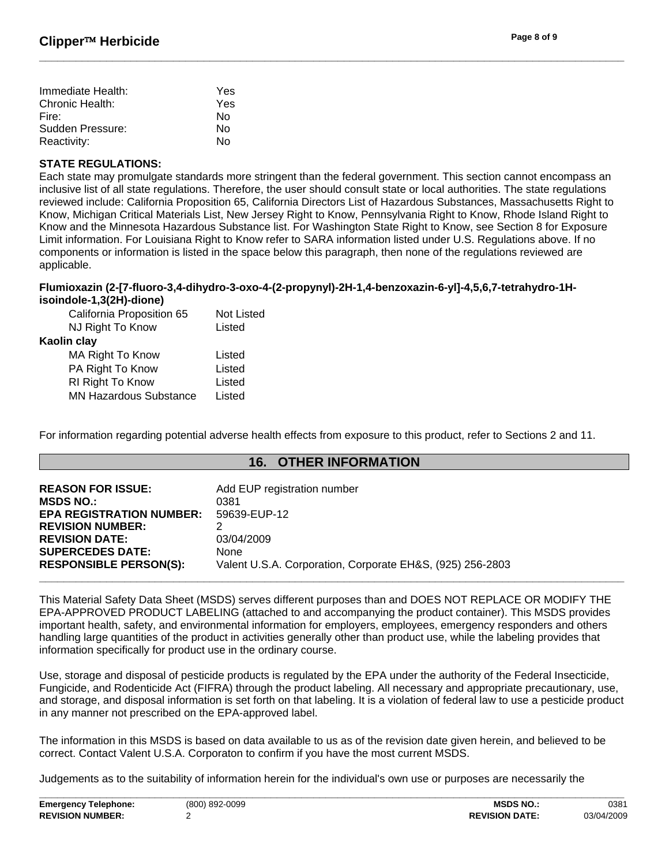| Immediate Health: | Yes |
|-------------------|-----|
| Chronic Health:   | Yes |
| Fire:             | N٥  |
| Sudden Pressure:  | N٥  |
| Reactivity:       | N٥  |

#### **STATE REGULATIONS:**

Each state may promulgate standards more stringent than the federal government. This section cannot encompass an inclusive list of all state regulations. Therefore, the user should consult state or local authorities. The state regulations reviewed include: California Proposition 65, California Directors List of Hazardous Substances, Massachusetts Right to Know, Michigan Critical Materials List, New Jersey Right to Know, Pennsylvania Right to Know, Rhode Island Right to Know and the Minnesota Hazardous Substance list. For Washington State Right to Know, see Section 8 for Exposure Limit information. For Louisiana Right to Know refer to SARA information listed under U.S. Regulations above. If no components or information is listed in the space below this paragraph, then none of the regulations reviewed are applicable.

**\_\_\_\_\_\_\_\_\_\_\_\_\_\_\_\_\_\_\_\_\_\_\_\_\_\_\_\_\_\_\_\_\_\_\_\_\_\_\_\_\_\_\_\_\_\_\_\_\_\_\_\_\_\_\_\_\_\_\_\_\_\_\_\_\_\_\_\_\_\_\_\_\_\_\_\_\_\_\_\_\_\_\_\_\_\_\_\_\_\_\_\_\_\_\_\_** 

#### **Flumioxazin (2-[7-fluoro-3,4-dihydro-3-oxo-4-(2-propynyl)-2H-1,4-benzoxazin-6-yl]-4,5,6,7-tetrahydro-1Hisoindole-1,3(2H)-dione)**

| California Proposition 65<br>NJ Right To Know | <b>Not Listed</b><br>Listed |
|-----------------------------------------------|-----------------------------|
| Kaolin clay                                   |                             |
| MA Right To Know                              | Listed                      |
| PA Right To Know                              | Listed                      |
| RI Right To Know                              | Listed                      |
| <b>MN Hazardous Substance</b>                 | Listed                      |
|                                               |                             |

For information regarding potential adverse health effects from exposure to this product, refer to Sections 2 and 11.

#### **16. OTHER INFORMATION**

| <b>REASON FOR ISSUE:</b><br><b>MSDS NO.:</b><br><b>EPA REGISTRATION NUMBER:</b><br><b>REVISION NUMBER:</b><br><b>REVISION DATE:</b><br><b>SUPERCEDES DATE:</b><br><b>RESPONSIBLE PERSON(S):</b> | Add EUP registration number<br>0381<br>59639-EUP-12<br>03/04/2009<br>None<br>Valent U.S.A. Corporation, Corporate EH&S, (925) 256-2803 |
|-------------------------------------------------------------------------------------------------------------------------------------------------------------------------------------------------|----------------------------------------------------------------------------------------------------------------------------------------|
|                                                                                                                                                                                                 |                                                                                                                                        |

This Material Safety Data Sheet (MSDS) serves different purposes than and DOES NOT REPLACE OR MODIFY THE EPA-APPROVED PRODUCT LABELING (attached to and accompanying the product container). This MSDS provides important health, safety, and environmental information for employers, employees, emergency responders and others handling large quantities of the product in activities generally other than product use, while the labeling provides that information specifically for product use in the ordinary course.

Use, storage and disposal of pesticide products is regulated by the EPA under the authority of the Federal Insecticide, Fungicide, and Rodenticide Act (FIFRA) through the product labeling. All necessary and appropriate precautionary, use, and storage, and disposal information is set forth on that labeling. It is a violation of federal law to use a pesticide product in any manner not prescribed on the EPA-approved label.

The information in this MSDS is based on data available to us as of the revision date given herein, and believed to be correct. Contact Valent U.S.A. Corporaton to confirm if you have the most current MSDS.

Judgements as to the suitability of information herein for the individual's own use or purposes are necessarily the

| <b>Emergency Telephone:</b> | (800) 892-0099 | <b>MSDS NO</b>        | 0381       |
|-----------------------------|----------------|-----------------------|------------|
| <b>REVISION NUMBER:</b>     |                | <b>REVISION DATE:</b> | 03/04/2009 |